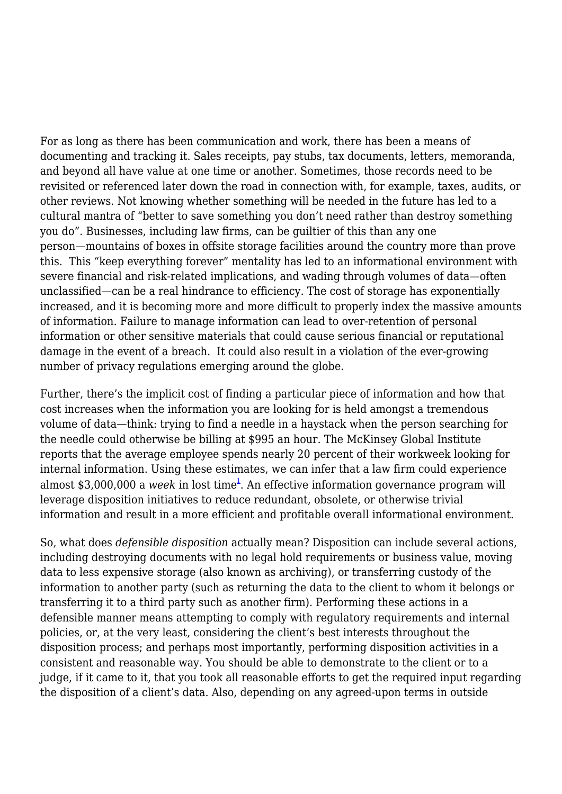For as long as there has been communication and work, there has been a means of documenting and tracking it. Sales receipts, pay stubs, tax documents, letters, memoranda, and beyond all have value at one time or another. Sometimes, those records need to be revisited or referenced later down the road in connection with, for example, taxes, audits, or other reviews. Not knowing whether something will be needed in the future has led to a cultural mantra of "better to save something you don't need rather than destroy something you do". Businesses, including law firms, can be guiltier of this than any one person—mountains of boxes in offsite storage facilities around the country more than prove this. This "keep everything forever" mentality has led to an informational environment with severe financial and risk-related implications, and wading through volumes of data—often unclassified—can be a real hindrance to efficiency. The cost of storage has exponentially increased, and it is becoming more and more difficult to properly index the massive amounts of information. Failure to manage information can lead to over-retention of personal information or other sensitive materials that could cause serious financial or reputational damage in the event of a breach. It could also result in a violation of the ever-growing number of privacy regulations emerging around the globe.

Further, there's the implicit cost of finding a particular piece of information and how that cost increases when the information you are looking for is held amongst a tremendous volume of data—think: trying to find a needle in a haystack when the person searching for the needle could otherwise be billing at \$995 an hour. The McKinsey Global Institute reports that the average employee spends nearly 20 percent of their workweek looking for internal information. Using these estimates, we can infer that a law firm could experience almost \$3,000,000 a *week* in lost time<sup>[1](https://magazine.arma.org/javascript:void(0))</sup>. An effective information governance program will leverage disposition initiatives to reduce redundant, obsolete, or otherwise trivial information and result in a more efficient and profitable overall informational environment.

So, what does *defensible disposition* actually mean? Disposition can include several actions, including destroying documents with no legal hold requirements or business value, moving data to less expensive storage (also known as archiving), or transferring custody of the information to another party (such as returning the data to the client to whom it belongs or transferring it to a third party such as another firm). Performing these actions in a defensible manner means attempting to comply with regulatory requirements and internal policies, or, at the very least, considering the client's best interests throughout the disposition process; and perhaps most importantly, performing disposition activities in a consistent and reasonable way. You should be able to demonstrate to the client or to a judge, if it came to it, that you took all reasonable efforts to get the required input regarding the disposition of a client's data. Also, depending on any agreed-upon terms in outside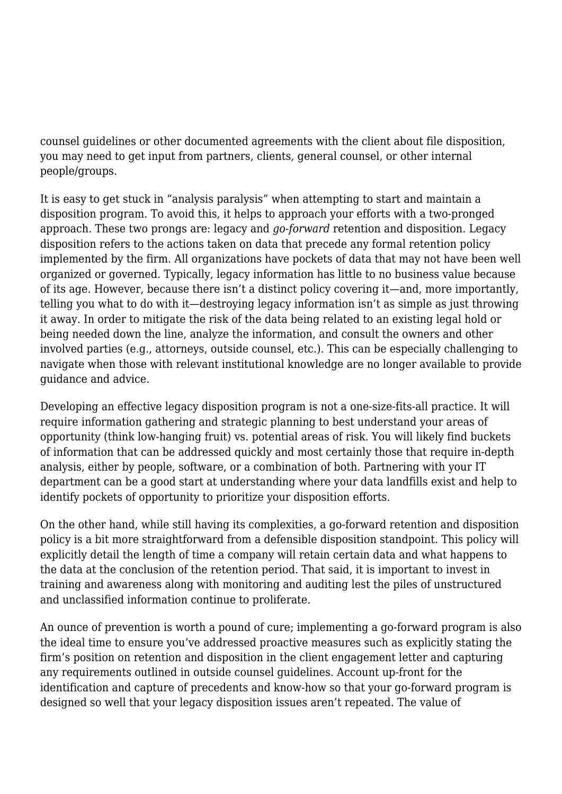counsel guidelines or other documented agreements with the client about file disposition, you may need to get input from partners, clients, general counsel, or other internal people/groups.

It is easy to get stuck in "analysis paralysis" when attempting to start and maintain a disposition program. To avoid this, it helps to approach your efforts with a two-pronged approach. These two prongs are: legacy and *go-forward* retention and disposition. Legacy disposition refers to the actions taken on data that precede any formal retention policy implemented by the firm. All organizations have pockets of data that may not have been well organized or governed. Typically, legacy information has little to no business value because of its age. However, because there isn't a distinct policy covering it—and, more importantly, telling you what to do with it—destroying legacy information isn't as simple as just throwing it away. In order to mitigate the risk of the data being related to an existing legal hold or being needed down the line, analyze the information, and consult the owners and other involved parties (e.g., attorneys, outside counsel, etc.). This can be especially challenging to navigate when those with relevant institutional knowledge are no longer available to provide guidance and advice.

Developing an effective legacy disposition program is not a one-size-fits-all practice. It will require information gathering and strategic planning to best understand your areas of opportunity (think low-hanging fruit) vs. potential areas of risk. You will likely find buckets of information that can be addressed quickly and most certainly those that require in-depth analysis, either by people, software, or a combination of both. Partnering with your IT department can be a good start at understanding where your data landfills exist and help to identify pockets of opportunity to prioritize your disposition efforts.

On the other hand, while still having its complexities, a go-forward retention and disposition policy is a bit more straightforward from a defensible disposition standpoint. This policy will explicitly detail the length of time a company will retain certain data and what happens to the data at the conclusion of the retention period. That said, it is important to invest in training and awareness along with monitoring and auditing lest the piles of unstructured and unclassified information continue to proliferate.

An ounce of prevention is worth a pound of cure; implementing a go-forward program is also the ideal time to ensure you've addressed proactive measures such as explicitly stating the firm's position on retention and disposition in the client engagement letter and capturing any requirements outlined in outside counsel guidelines. Account up-front for the identification and capture of precedents and know-how so that your go-forward program is designed so well that your legacy disposition issues aren't repeated. The value of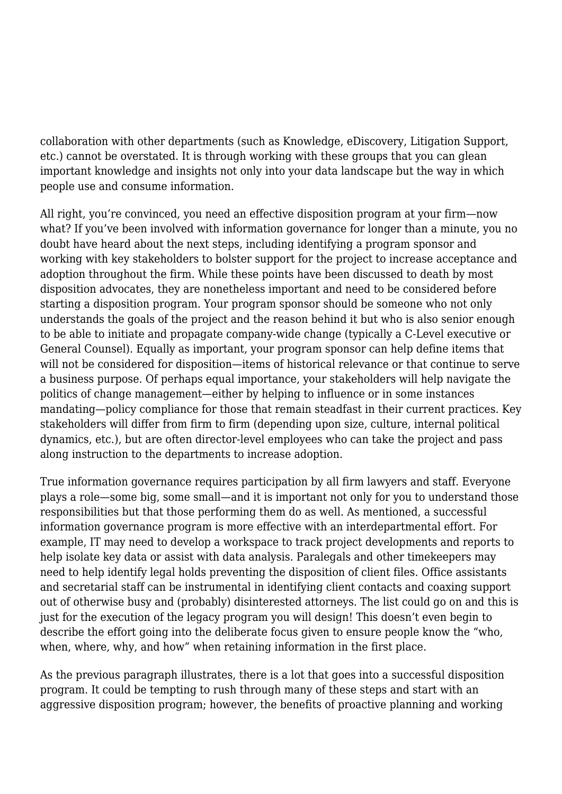collaboration with other departments (such as Knowledge, eDiscovery, Litigation Support, etc.) cannot be overstated. It is through working with these groups that you can glean important knowledge and insights not only into your data landscape but the way in which people use and consume information.

All right, you're convinced, you need an effective disposition program at your firm—now what? If you've been involved with information governance for longer than a minute, you no doubt have heard about the next steps, including identifying a program sponsor and working with key stakeholders to bolster support for the project to increase acceptance and adoption throughout the firm. While these points have been discussed to death by most disposition advocates, they are nonetheless important and need to be considered before starting a disposition program. Your program sponsor should be someone who not only understands the goals of the project and the reason behind it but who is also senior enough to be able to initiate and propagate company-wide change (typically a C-Level executive or General Counsel). Equally as important, your program sponsor can help define items that will not be considered for disposition—items of historical relevance or that continue to serve a business purpose. Of perhaps equal importance, your stakeholders will help navigate the politics of change management—either by helping to influence or in some instances mandating—policy compliance for those that remain steadfast in their current practices. Key stakeholders will differ from firm to firm (depending upon size, culture, internal political dynamics, etc.), but are often director-level employees who can take the project and pass along instruction to the departments to increase adoption.

True information governance requires participation by all firm lawyers and staff. Everyone plays a role—some big, some small—and it is important not only for you to understand those responsibilities but that those performing them do as well. As mentioned, a successful information governance program is more effective with an interdepartmental effort. For example, IT may need to develop a workspace to track project developments and reports to help isolate key data or assist with data analysis. Paralegals and other timekeepers may need to help identify legal holds preventing the disposition of client files. Office assistants and secretarial staff can be instrumental in identifying client contacts and coaxing support out of otherwise busy and (probably) disinterested attorneys. The list could go on and this is just for the execution of the legacy program you will design! This doesn't even begin to describe the effort going into the deliberate focus given to ensure people know the "who, when, where, why, and how" when retaining information in the first place.

As the previous paragraph illustrates, there is a lot that goes into a successful disposition program. It could be tempting to rush through many of these steps and start with an aggressive disposition program; however, the benefits of proactive planning and working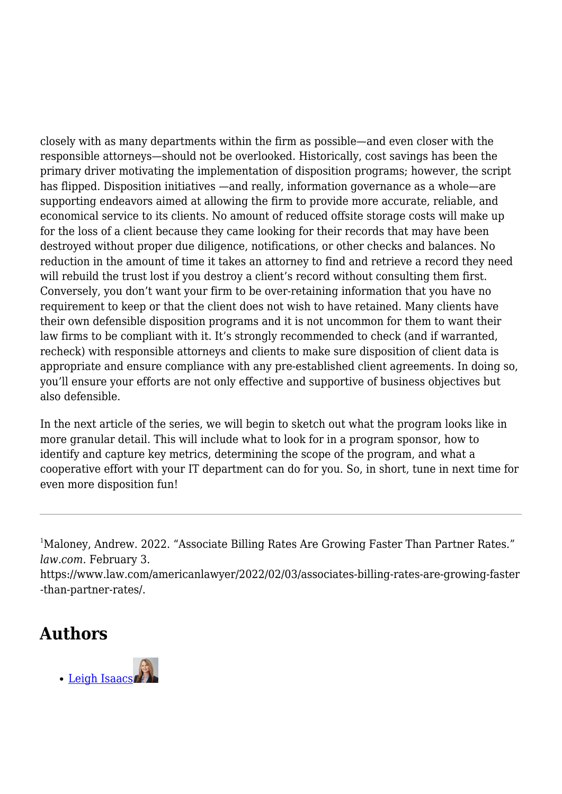closely with as many departments within the firm as possible—and even closer with the responsible attorneys—should not be overlooked. Historically, cost savings has been the primary driver motivating the implementation of disposition programs; however, the script has flipped. Disposition initiatives —and really, information governance as a whole—are supporting endeavors aimed at allowing the firm to provide more accurate, reliable, and economical service to its clients. No amount of reduced offsite storage costs will make up for the loss of a client because they came looking for their records that may have been destroyed without proper due diligence, notifications, or other checks and balances. No reduction in the amount of time it takes an attorney to find and retrieve a record they need will rebuild the trust lost if you destroy a client's record without consulting them first. Conversely, you don't want your firm to be over-retaining information that you have no requirement to keep or that the client does not wish to have retained. Many clients have their own defensible disposition programs and it is not uncommon for them to want their law firms to be compliant with it. It's strongly recommended to check (and if warranted, recheck) with responsible attorneys and clients to make sure disposition of client data is appropriate and ensure compliance with any pre-established client agreements. In doing so, you'll ensure your efforts are not only effective and supportive of business objectives but also defensible.

In the next article of the series, we will begin to sketch out what the program looks like in more granular detail. This will include what to look for in a program sponsor, how to identify and capture key metrics, determining the scope of the program, and what a cooperative effort with your IT department can do for you. So, in short, tune in next time for even more disposition fun!

<sup>1</sup>Maloney, Andrew. 2022. "Associate Billing Rates Are Growing Faster Than Partner Rates." *law.com.* February 3. https://www.law.com/americanlawyer/2022/02/03/associates-billing-rates-are-growing-faster -than-partner-rates/.

## **Authors**

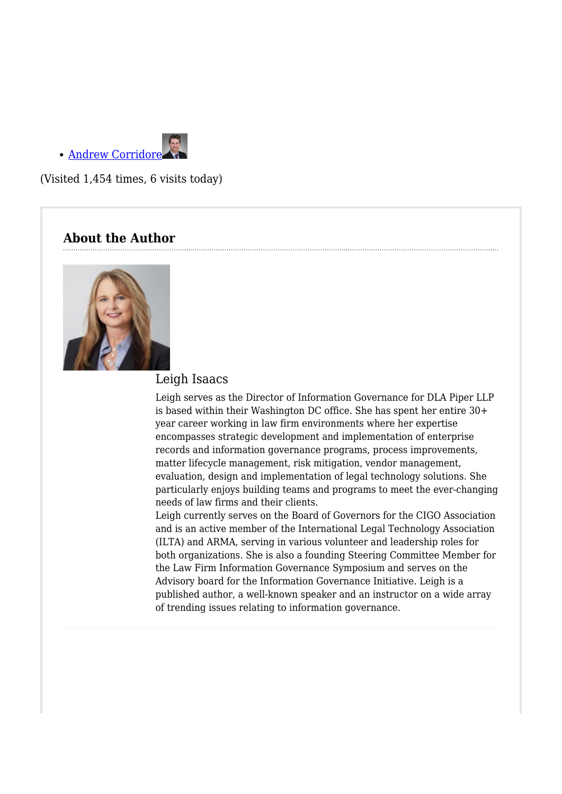

(Visited 1,454 times, 6 visits today)

## **About the Author**



## Leigh Isaacs

Leigh serves as the Director of Information Governance for DLA Piper LLP is based within their Washington DC office. She has spent her entire 30+ year career working in law firm environments where her expertise encompasses strategic development and implementation of enterprise records and information governance programs, process improvements, matter lifecycle management, risk mitigation, vendor management, evaluation, design and implementation of legal technology solutions. She particularly enjoys building teams and programs to meet the ever-changing needs of law firms and their clients.

Leigh currently serves on the Board of Governors for the CIGO Association and is an active member of the International Legal Technology Association (ILTA) and ARMA, serving in various volunteer and leadership roles for both organizations. She is also a founding Steering Committee Member for the Law Firm Information Governance Symposium and serves on the Advisory board for the Information Governance Initiative. Leigh is a published author, a well-known speaker and an instructor on a wide array of trending issues relating to information governance.